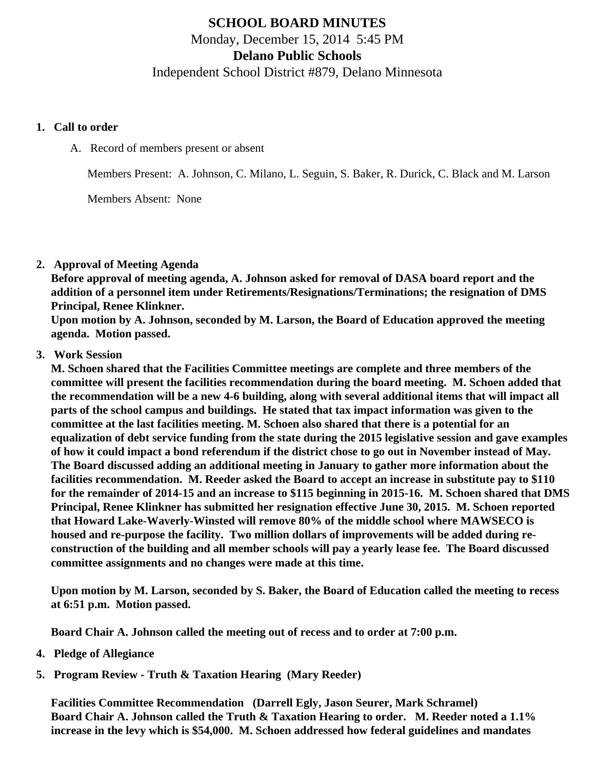# SCHOOL BOARD MINUTES Monday, December 15, 2014 5:45 PM Delano Public Schools Independent School District #879, Delano Minnesota

- 1. Call to order
	- A. Record of members present or absent

Members Present: A. Johnson, C. Milano, L. Seguin, S. Baker, R. Durick, C. Black and M. Larson

Members Absent: None

2. Approval of Meeting Agenda

Before approval of meeting agenda, A. Johnson asked for removal of DASA board report and the addition of a personnel item under Retirements/Resignations/Terminations; the resignation of DMS Principal, Renee Klinkner.

Upon motion by A. Johnson, seconded by M. Larson, the Board of Education approved the meeting agenda. Motion passed.

### 3. Work Session

M. Schoen shared that the Facilities Committee meetings are complete and three members of the committee will present the facilities recommendation during the board meeting. M. Schoen added that the recommendation will be a new 4-6 building, along with several additional items that will impact all parts of the school campus and buildings. He stated that tax impact information was given to the committee at the last facilities meeting. M. Schoen also shared that there is a potential for an equalization of debt service funding from the state during the 2015 legislative session and gave examples of how it could impact a bond referendum if the district chose to go out in November instead of May. The Board discussed adding an additional meeting in January to gather more information about the facilities recommendation. M. Reeder asked the Board to accept an increase in substitute pay to \$110 for the remainder of 2014-15 and an increase to \$115 beginning in 2015-16. M. Schoen shared that DMS Principal, Renee Klinkner has submitted her resignation effective June 30, 2015. M. Schoen reported that Howard Lake-Waverly-Winsted will remove 80% of the middle school where MAWSECO is housed and re-purpose the facility. Two million dollars of improvements will be added during reconstruction of the building and all member schools will pay a yearly lease fee. The Board discussed committee assignments and no changes were made at this time.

Upon motion by M. Larson, seconded by S. Baker, the Board of Education called the meeting to recess at 6:51 p.m. Motion passed.

Board Chair A. Johnson called the meeting out of recess and to order at 7:00 p.m.

- 4. Pledge of Allegiance
- 5. Program Review - [Truth & Taxation Hearing](/docs/district/Business_Office/Truth_in_Taxation_Dec_14.pdf) (Mary Reeder)

[Facilities Committee Recommendatio](/docs/district/District_Forms/Facilities_Committee_Recommendation_PPT.pdf)n (Darrell Egly, Jason Seurer, Mark Schramel) Board Chair A. Johnson called the Truth & Taxation Hearing to order. M. Reeder noted a 1.1% increase in the levy which is \$54,000. M. Schoen addressed how federal guidelines and mandates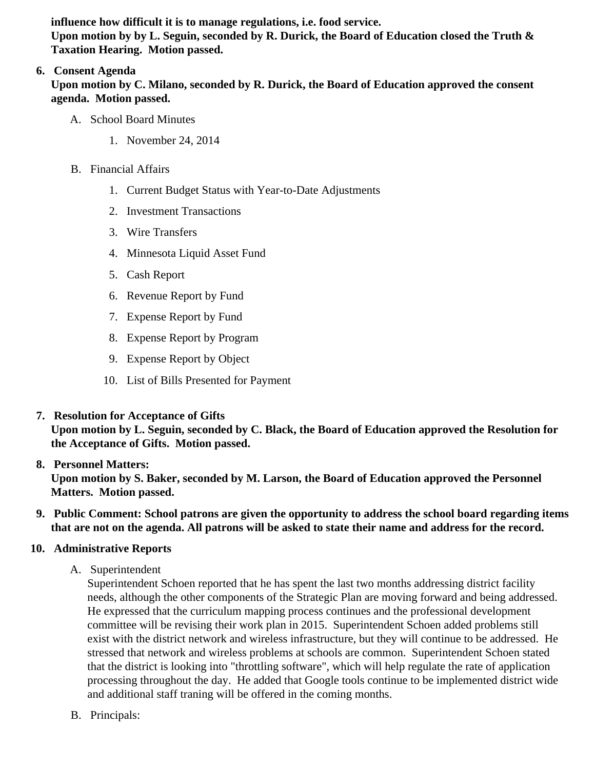influence how difficult it is to manage regulations, i.e. food service. Upon motion by by L. Seguin, seconded by R. Durick, the Board of Education closed the Truth & Taxation Hearing. Motion passed.

# 6. Consent Agenda

Upon motion by C. Milano, seconded by R. Durick, the Board of Education approved the consent agenda. Motion passed.

- A. School Board Minutes
	- 1. [November 24, 201](/School_Board_Minutes_11.24.14.pdf )4
- B. Financial Affairs
	- 1. [Current Budget Statu](/docs/district/Business_Office/Budget_Report_Dec_14.pdf)s ith Year-to-Date Adjustments
	- 2. [Investment Transactio](/docs/district/Business_Office/Investment_schedule_14-15.pdf  )ns
	- 3. [Wire Transfer](/docs/district/Business_Office/Wire_Transfer.pdf)s
	- 4. [Minnesota Liquid Asset Fun](/docs/district/Business_Office/Liquid_Asset_Fund_FY15.pdf )d
	- 5. [Cash Repo](/docs/district/Business_Office/Cash_Report.pdf)rt
	- 6. [Revenue Report by Fu](/docs/district/Business_Office/SCHOOL_BOARD_REPORTS_-_REVENUE_BY_FUND_TOTAL__(Date__6_2015).pdf)nd
	- 7. [Expense Report by Fu](/docs/district/Business_Office/SCHOOL_BOARD_REPORTS_-_EXP_BY_FUND_TOTAL__(Date__6_2015).pdf)nd
	- 8. [Expense Report by Progra](/docs/district/Business_Office/SCHOOL_BOARD_REPORTS_-_EXPENDITURES_BY_PROGRAM__(Date__6_2015).pdf)m
	- 9. [Expense Report by Obje](/docs/district/Business_Office/SCHOOL_BOARD_REPORTS_-_EXPENDITURES_BY_OBJECT__(Date__6_2015).pdf)ct
	- 10. [List of Bills Presented for Payme](/docs/district/Business_Office/Detail_of_Monthly_Bills_Paid.pdf)nt
- 7. [Resolution for Acceptance of Gifts](/docs/district/Business_Office/Resolution_for_Acceptance_of_Gifts_12.15.14.pdf)

Upon motion by L. Seguin, seconded by C. Black, the Board of Education approved the Resolution for the Acceptance of Gifts. Motion passed.

# 8. [Personnel Matters:](/docs/district/HR/December_15,_2014_Personnel_Items.pdf)

Upon motion by S. Baker, seconded by M. Larson, the Board of Education approved the Personnel Matters. Motion passed.

- 9. Public Comment: School patrons are given the opportunity to address the school board regarding items that are not on the agenda. All patrons will be asked to state their name and address for the record.
- 10. Administrative Reports
	- A. Superintendent

Superintendent Schoen reported that he has spent the last two months addressing district facility needs, although the other components of the Strategic Plan are moving forward and being address He expressed that the curriculum mapping process continues and the professional development committee will be revising their work plan in 2015. Superintendent Schoen added problems still exist with the district network and wireless infrastructure, but they will continue to be addressed. H stressed that network and wireless problems at schools are common. Superintendent Schoen stat that the district is looking into "throttling software", which will help regulate the rate of application processing throughout the day. He added that Google tools continue to be implemented district wi and additional staff traning will be offered in the coming months.

B. Principals: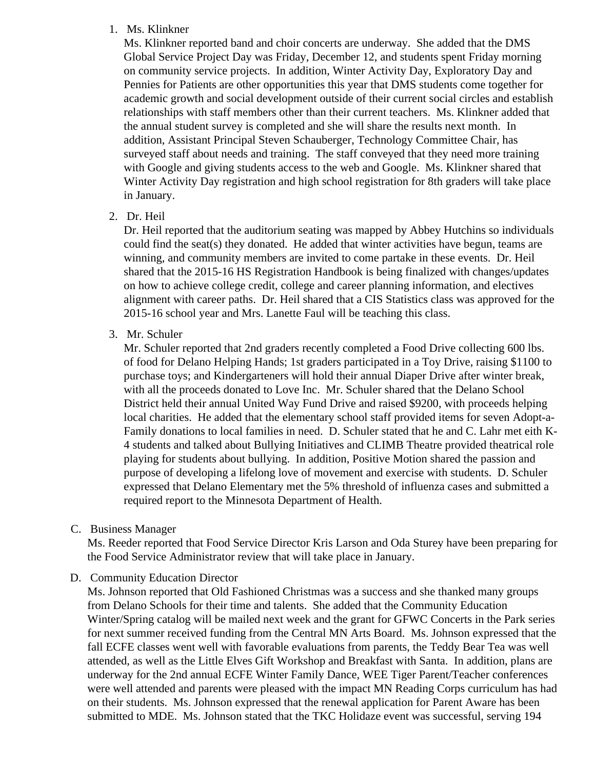#### 1. Ms. Klinkner

Ms. Klinkner reported band and choir concerts are underway. She added that the DMS Global Service Project Day was Friday, December 12, and students spent Friday morning on community service projects. In addition, Winter Activity Day, Exploratory Day and Pennies for Patients are other opportunities this year that DMS students come together for academic growth and social development outside of their current social circles and establish relationships with staff members other than their current teachers. Ms. Klinkner added that the annual student survey is completed and she will share the results next month. In addition, Assistant Principal Steven Schauberger, Technology Committee Chair, has surveyed staff about needs and training. The staff conveyed that they need more training with Google and giving students access to the web and Google. Ms. Klinkner shared that Winter Activity Day registration and high school registration for 8th graders will take place in January.

2. Dr. Heil

Dr. Heil reported that the auditorium seating was mapped by Abbey Hutchins so individuals could find the seat(s) they donated. He added that winter activities have begun, teams are winning, and community members are invited to come partake in these events. Dr. Heil shared that the 2015-16 HS Registration Handbook is being finalized with changes/updates on how to achieve college credit, college and career planning information, and electives alignment with career paths. Dr. Heil shared that a CIS Statistics class was approved for the 2015-16 school year and Mrs. Lanette Faul will be teaching this class.

3. Mr. Schuler

Mr. Schuler reported that 2nd graders recently completed a Food Drive collecting 600 lbs. of food for Delano Helping Hands; 1st graders participated in a Toy Drive, raising \$1100 to purchase toys; and Kindergarteners will hold their annual Diaper Drive after winter break, with all the proceeds donated to Love Inc. Mr. Schuler shared that the Delano School District held their annual United Way Fund Drive and raised \$9200, with proceeds helping local charities. He added that the elementary school staff provided items for seven Adopt-a-Family donations to local families in need. D. Schuler stated that he and C. Lahr met eith K-4 students and talked about Bullying Initiatives and CLIMB Theatre provided theatrical role playing for students about bullying. In addition, Positive Motion shared the passion and purpose of developing a lifelong love of movement and exercise with students. D. Schuler expressed that Delano Elementary met the 5% threshold of influenza cases and submitted a required report to the Minnesota Department of Health.

C. Business Manager

Ms. Reeder reported that Food Service Director Kris Larson and Oda Sturey have been preparing for the Food Service Administrator review that will take place in January.

D. Community Education Director

Ms. Johnson reported that Old Fashioned Christmas was a success and she thanked many groups from Delano Schools for their time and talents. She added that the Community Education Winter/Spring catalog will be mailed next week and the grant for GFWC Concerts in the Park series for next summer received funding from the Central MN Arts Board. Ms. Johnson expressed that the fall ECFE classes went well with favorable evaluations from parents, the Teddy Bear Tea was well attended, as well as the Little Elves Gift Workshop and Breakfast with Santa. In addition, plans are underway for the 2nd annual ECFE Winter Family Dance, WEE Tiger Parent/Teacher conferences were well attended and parents were pleased with the impact MN Reading Corps curriculum has had on their students. Ms. Johnson expressed that the renewal application for Parent Aware has been submitted to MDE. Ms. Johnson stated that the TKC Holidaze event was successful, serving 194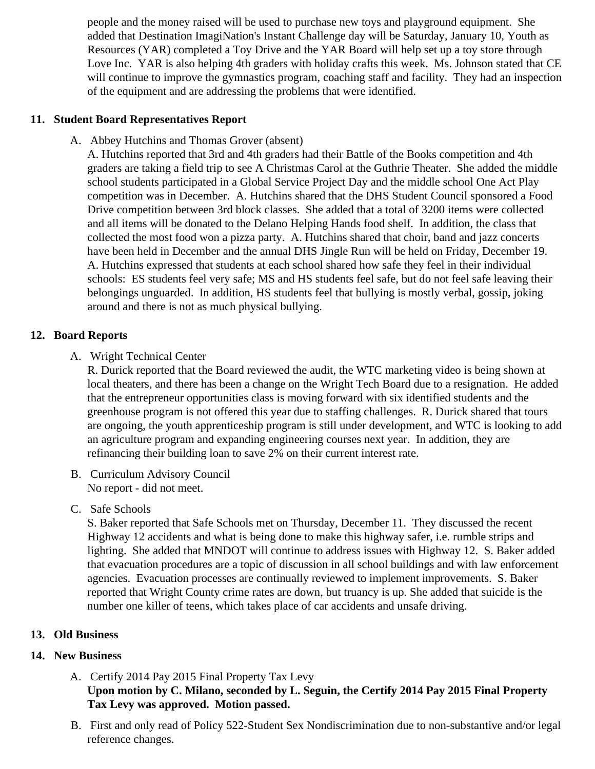people and the money raised will be used to purchase new toys and playground equipment. She added that Destination ImagiNation's Instant Challenge day will be Saturday, January 10, Youth as Resources (YAR) completed a Toy Drive and the YAR Board will help set up a toy store through Love Inc. YAR is also helping 4th graders with holiday crafts this week. Ms. Johnson stated that C will continue to improve the gymnastics program, coaching staff and facility. They had an inspection of the equipment and are addressing the problems that were identified.

### 11. Student Board Representatives Report

A. Abbey Hutchins and Thomas Grover (absent)

A. Hutchins reported that 3rd and 4th graders had their Battle of the Books competition and 4th graders are taking a field trip to see A Christmas Carol at the Guthrie Theater. She added the mid school students participated in a Global Service Project Day and the middle school One Act Play competition was in December. A. Hutchins shared that the DHS Student Council sponsored a Food Drive competition between 3rd block classes. She added that a total of 3200 items were collected and all items will be donated to the Delano Helping Hands food shelf. In addition, the class that collected the most food won a pizza party. A. Hutchins shared that choir, band and jazz concerts have been held in December and the annual DHS Jingle Run will be held on Friday, December 19. A. Hutchins expressed that students at each school shared how safe they feel in their individual schools: ES students feel very safe; MS and HS students feel safe, but do not feel safe leaving the belongings unguarded. In addition, HS students feel that bullying is mostly verbal, gossip, joking around and there is not as much physical bullying.

### 12. Board Reports

A. Wright Technical Center

R. Durick reported that the Board reviewed the audit, the WTC marketing video is being shown at local theaters, and there has been a change on the Wright Tech Board due to a resignation. He ad that the entrepreneur opportunities class is moving forward with six identified students and the greenhouse program is not offered this year due to staffing challenges. R. Durick shared that tours are ongoing, the youth apprenticeship program is still under development, and WTC is looking to a an agriculture program and expanding engineering courses next year. In addition, they are refinancing their building loan to save 2% on their current interest rate.

- B. Curriculum Advisory Council No report - did not meet.
- C. Safe Schools

S. Baker reported that Safe Schools met on Thursday, December 11. They discussed the recent Highway 12 accidents and what is being done to make this highway safer, i.e. rumble strips and lighting. She added that MNDOT will continue to address issues with Highway 12. S. Baker added that evacuation procedures are a topic of discussion in all school buildings and with law enforceme agencies. Evacuation processes are continually reviewed to implement improvements. S. Baker reported that Wright County crime rates are down, but truancy is up. She added that suicide is the number one killer of teens, which takes place of car accidents and unsafe driving.

13. Old Business

#### 14. New Business

- A. [Certify 2014 Pay 2015 Final Property Tax L](/docs/district/Business_Office/Levy_Spreadsheet.pdf)evy Upon motion by C. Milano, seconded by L. Seguin, the Certify 2014 Pay 2015 Final Property Tax Levy was approved. Motion passed.
- B. First and only read of Policy 522-Student Sex Nondiscrimination due to non-substantive and/or leg reference changes.